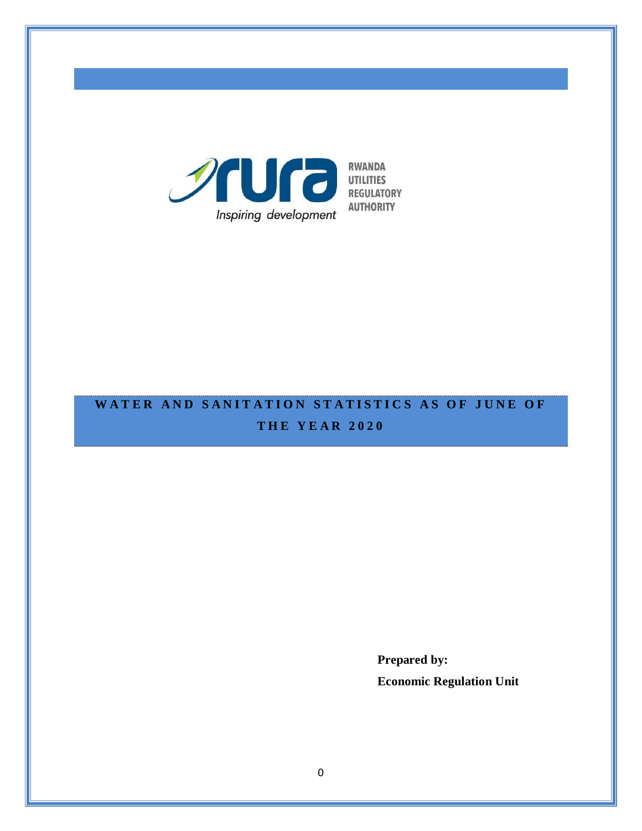

# WATER AND SANITATION STATISTICS AS OF JUNE OF **T H E Y E A R 2 0 2 0**

**Prepared by: Economic Regulation Unit**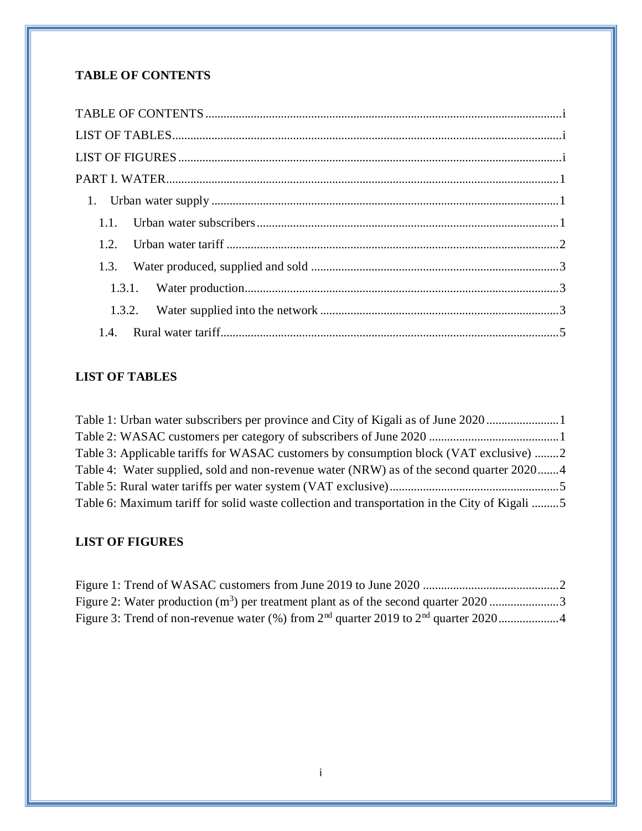## <span id="page-1-0"></span>**TABLE OF CONTENTS**

## <span id="page-1-1"></span>**LIST OF TABLES**

| Table 1: Urban water subscribers per province and City of Kigali as of June 2020              |  |
|-----------------------------------------------------------------------------------------------|--|
|                                                                                               |  |
| Table 3: Applicable tariffs for WASAC customers by consumption block (VAT exclusive) 2        |  |
| Table 4: Water supplied, sold and non-revenue water (NRW) as of the second quarter 20204      |  |
|                                                                                               |  |
| Table 6: Maximum tariff for solid waste collection and transportation in the City of Kigali 5 |  |

## <span id="page-1-2"></span>**LIST OF FIGURES**

| Figure 2: Water production $(m^3)$ per treatment plant as of the second quarter 2020 3 |  |
|----------------------------------------------------------------------------------------|--|
|                                                                                        |  |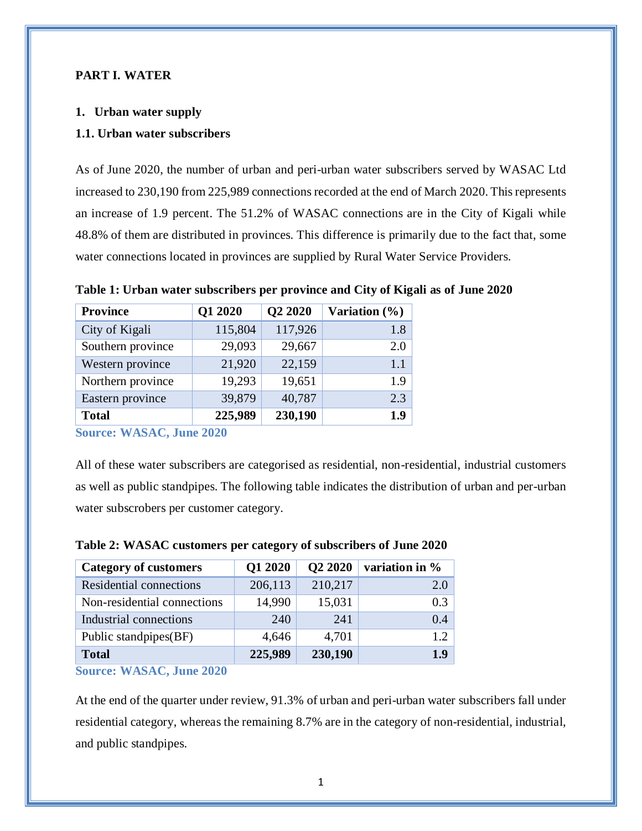### <span id="page-3-0"></span>**PART I. WATER**

#### <span id="page-3-1"></span>**1. Urban water supply**

#### <span id="page-3-2"></span>**1.1. Urban water subscribers**

As of June 2020, the number of urban and peri-urban water subscribers served by WASAC Ltd increased to 230,190 from 225,989 connections recorded at the end of March 2020. This represents an increase of 1.9 percent. The 51.2% of WASAC connections are in the City of Kigali while 48.8% of them are distributed in provinces. This difference is primarily due to the fact that, some water connections located in provinces are supplied by Rural Water Service Providers.

<span id="page-3-3"></span>

| Table 1: Urban water subscribers per province and City of Kigali as of June 2020 |  |  |
|----------------------------------------------------------------------------------|--|--|
|                                                                                  |  |  |

| <b>Province</b>   | Q1 2020 | Q2 2020 | Variation $(\%)$ |
|-------------------|---------|---------|------------------|
| City of Kigali    | 115,804 | 117,926 | 1.8              |
| Southern province | 29,093  | 29,667  | 2.0              |
| Western province  | 21,920  | 22,159  | 1.1              |
| Northern province | 19,293  | 19,651  | 1.9              |
| Eastern province  | 39,879  | 40,787  | 2.3              |
| <b>Total</b>      | 225,989 | 230,190 | 1.9              |

**Source: WASAC, June 2020**

All of these water subscribers are categorised as residential, non-residential, industrial customers as well as public standpipes. The following table indicates the distribution of urban and per-urban water subscrobers per customer category.

| <b>Category of customers</b> | Q1 2020 | Q2 2020 | variation in % |
|------------------------------|---------|---------|----------------|
| Residential connections      | 206,113 | 210,217 | 2.0            |
| Non-residential connections  | 14,990  | 15,031  | 0.3            |
| Industrial connections       | 240     | 241     | 0.4            |
| Public standpipes(BF)        | 4,646   | 4,701   | 12             |
| <b>Total</b>                 | 225,989 | 230,190 | 1.9            |

#### <span id="page-3-4"></span>**Table 2: WASAC customers per category of subscribers of June 2020**

**Source: WASAC, June 2020**

At the end of the quarter under review, 91.3% of urban and peri-urban water subscribers fall under residential category, whereas the remaining 8.7% are in the category of non-residential, industrial, and public standpipes.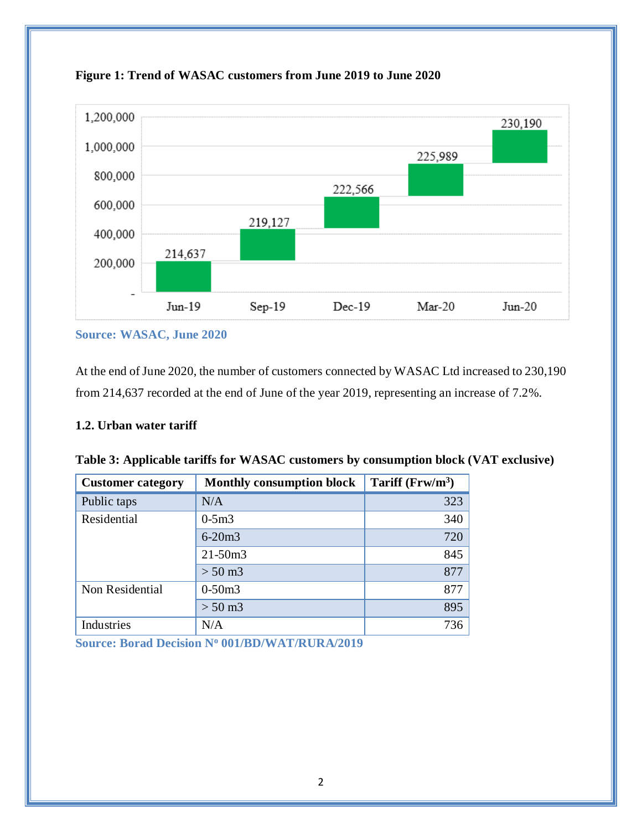

<span id="page-4-2"></span>

**Source: WASAC, June 2020**

At the end of June 2020, the number of customers connected by WASAC Ltd increased to 230,190 from 214,637 recorded at the end of June of the year 2019, representing an increase of 7.2%.

## <span id="page-4-0"></span>**1.2. Urban water tariff**

| <b>Customer category</b> | <b>Monthly consumption block</b> | Tariff $(Frw/m^3)$ |
|--------------------------|----------------------------------|--------------------|
| Public taps              | N/A                              | 323                |
| Residential              | $0-5m3$                          | 340                |
|                          | $6 - 20m3$                       | 720                |
|                          | $21 - 50m3$                      | 845                |
|                          | $> 50 \text{ m}$ 3               | 877                |
| Non Residential          | $0-50m3$                         | 877                |
|                          | $> 50 \text{ m}$ 3               | 895                |
| Industries               | N/A                              | 736                |

<span id="page-4-1"></span>

|  | Table 3: Applicable tariffs for WASAC customers by consumption block (VAT exclusive) |  |  |  |
|--|--------------------------------------------------------------------------------------|--|--|--|
|--|--------------------------------------------------------------------------------------|--|--|--|

**Source: Borad Decision N<sup>o</sup> 001/BD/WAT/RURA/2019**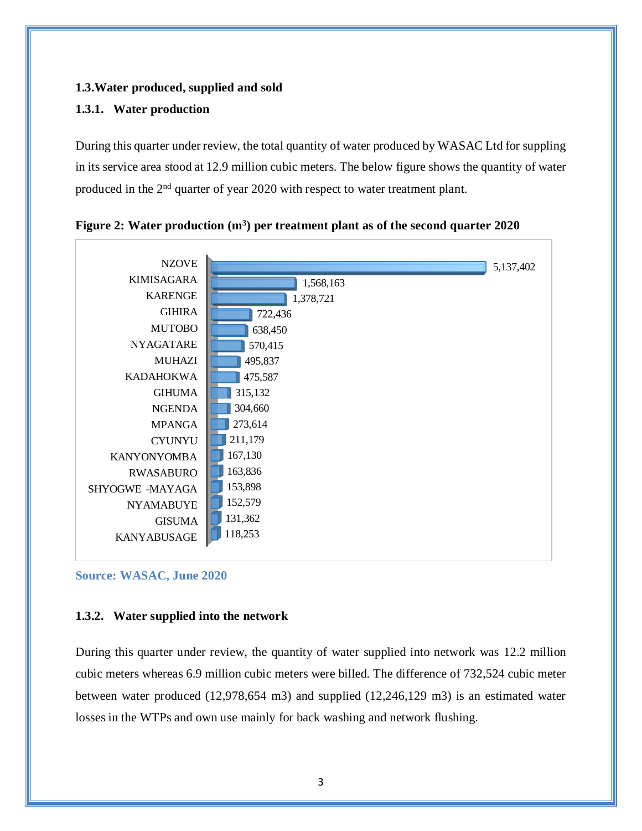## <span id="page-5-0"></span>**1.3.Water produced, supplied and sold**

## <span id="page-5-1"></span>**1.3.1. Water production**

During this quarter under review, the total quantity of water produced by WASAC Ltd for suppling in its service area stood at 12.9 million cubic meters. The below figure shows the quantity of water produced in the 2<sup>nd</sup> quarter of year 2020 with respect to water treatment plant.



<span id="page-5-3"></span>**Figure 2: Water production (m<sup>3</sup> ) per treatment plant as of the second quarter 2020**

**Source: WASAC, June 2020**

#### <span id="page-5-2"></span>**1.3.2. Water supplied into the network**

During this quarter under review, the quantity of water supplied into network was 12.2 million cubic meters whereas 6.9 million cubic meters were billed. The difference of 732,524 cubic meter between water produced (12,978,654 m3) and supplied (12,246,129 m3) is an estimated water losses in the WTPs and own use mainly for back washing and network flushing.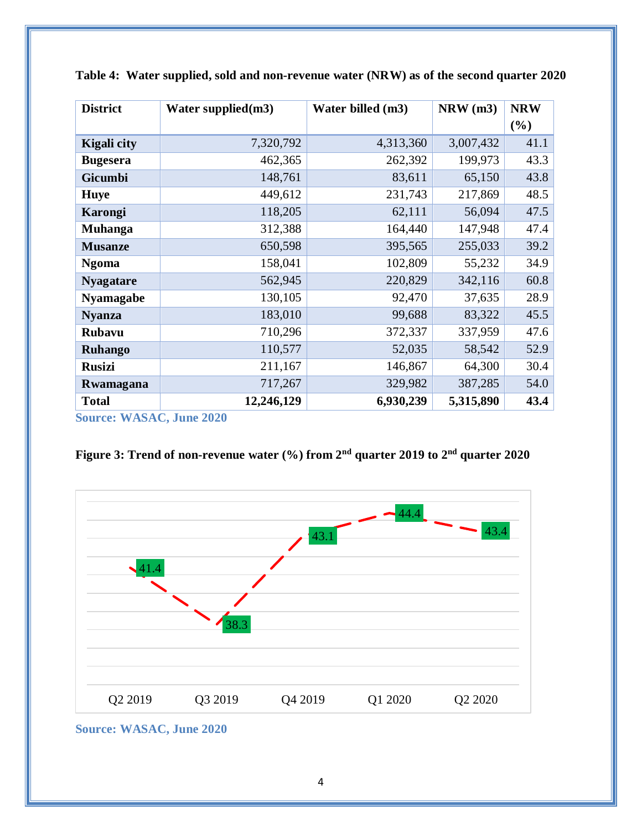| <b>District</b>                 | Water supplied $(m3)$ | Water billed (m3) | $NRW$ (m3) | <b>NRW</b> |
|---------------------------------|-----------------------|-------------------|------------|------------|
|                                 |                       |                   |            | (%)        |
| <b>Kigali</b> city              | 7,320,792             | 4,313,360         | 3,007,432  | 41.1       |
| <b>Bugesera</b>                 | 462,365               | 262,392           | 199,973    | 43.3       |
| <b>Gicumbi</b>                  | 148,761               | 83,611            | 65,150     | 43.8       |
| <b>Huye</b>                     | 449,612               | 231,743           | 217,869    | 48.5       |
| Karongi                         | 118,205               | 62,111            | 56,094     | 47.5       |
| <b>Muhanga</b>                  | 312,388               | 164,440           | 147,948    | 47.4       |
| <b>Musanze</b>                  | 650,598               | 395,565           | 255,033    | 39.2       |
| <b>Ngoma</b>                    | 158,041               | 102,809           | 55,232     | 34.9       |
| <b>Nyagatare</b>                | 562,945               | 220,829           | 342,116    | 60.8       |
| <b>Nyamagabe</b>                | 130,105               | 92,470            | 37,635     | 28.9       |
| <b>Nyanza</b>                   | 183,010               | 99,688            | 83,322     | 45.5       |
| <b>Rubavu</b>                   | 710,296               | 372,337           | 337,959    | 47.6       |
| <b>Ruhango</b>                  | 110,577               | 52,035            | 58,542     | 52.9       |
| <b>Rusizi</b>                   | 211,167               | 146,867           | 64,300     | 30.4       |
| Rwamagana                       | 717,267               | 329,982           | 387,285    | 54.0       |
| <b>Total</b>                    | 12,246,129            | 6,930,239         | 5,315,890  | 43.4       |
| <b>Source: WASAC, June 2020</b> |                       |                   |            |            |

<span id="page-6-0"></span>

|  | Table 4: Water supplied, sold and non-revenue water (NRW) as of the second quarter 2020 |
|--|-----------------------------------------------------------------------------------------|
|  |                                                                                         |

<span id="page-6-1"></span>**Figure 3: Trend of non-revenue water (%) from 2 nd quarter 2019 to 2 nd quarter 2020**



**Source: WASAC, June 2020**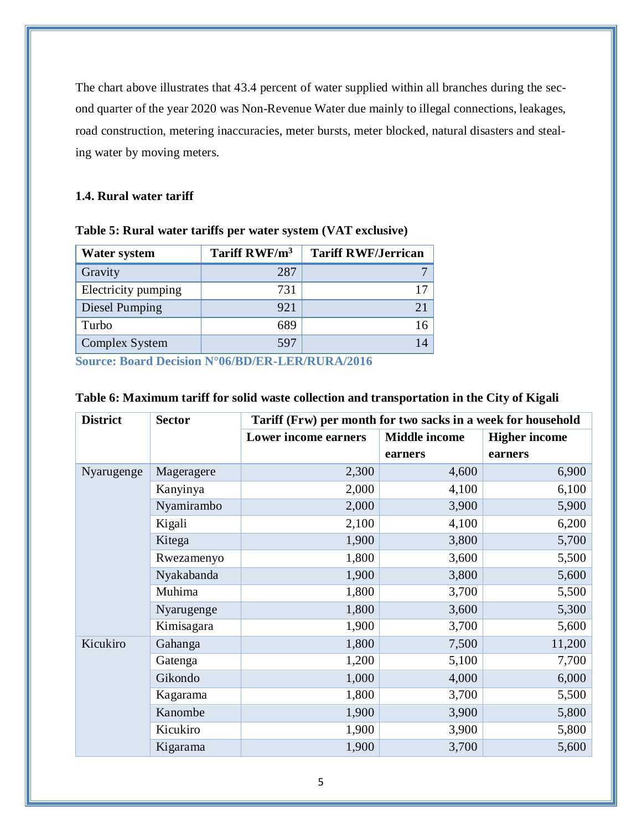The chart above illustrates that 43.4 percent of water supplied within all branches during the second quarter of the year 2020 was Non-Revenue Water due mainly to illegal connections, leakages, road construction, metering inaccuracies, meter bursts, meter blocked, natural disasters and stealing water by moving meters.

## <span id="page-7-0"></span>**1.4. Rural water tariff**

| <b>Water system</b> | Tariff RWF/m <sup>3</sup> | <b>Tariff RWF/Jerrican</b> |
|---------------------|---------------------------|----------------------------|
| Gravity             | 287                       |                            |
| Electricity pumping | 731                       |                            |
| Diesel Pumping      | 921                       |                            |
| Turbo               | 689                       |                            |
| Complex System      | 597                       |                            |

<span id="page-7-1"></span>

|  | Table 5: Rural water tariffs per water system (VAT exclusive) |  |
|--|---------------------------------------------------------------|--|
|  |                                                               |  |

**Source: Board Decision N°06/BD/ER-LER/RURA/2016**

| <b>District</b> | <b>Sector</b> | Tariff (Frw) per month for two sacks in a week for household |                      |                      |
|-----------------|---------------|--------------------------------------------------------------|----------------------|----------------------|
|                 |               | Lower income earners                                         | <b>Middle income</b> | <b>Higher income</b> |
|                 |               |                                                              | earners              | earners              |
| Nyarugenge      | Mageragere    | 2,300                                                        | 4,600                | 6,900                |
|                 | Kanyinya      | 2,000                                                        | 4,100                | 6,100                |
|                 | Nyamirambo    | 2,000                                                        | 3,900                | 5,900                |
|                 | Kigali        | 2,100                                                        | 4,100                | 6,200                |
|                 | Kitega        | 1,900                                                        | 3,800                | 5,700                |
|                 | Rwezamenyo    | 1,800                                                        | 3,600                | 5,500                |
|                 | Nyakabanda    | 1,900                                                        | 3,800                | 5,600                |
|                 | Muhima        | 1,800                                                        | 3,700                | 5,500                |
|                 | Nyarugenge    | 1,800                                                        | 3,600                | 5,300                |
|                 | Kimisagara    | 1,900                                                        | 3,700                | 5,600                |
| Kicukiro        | Gahanga       | 1,800                                                        | 7,500                | 11,200               |
|                 | Gatenga       | 1,200                                                        | 5,100                | 7,700                |
|                 | Gikondo       | 1,000                                                        | 4,000                | 6,000                |
|                 | Kagarama      | 1,800                                                        | 3,700                | 5,500                |
|                 | Kanombe       | 1,900                                                        | 3,900                | 5,800                |
|                 | Kicukiro      | 1,900                                                        | 3,900                | 5,800                |
|                 | Kigarama      | 1,900                                                        | 3,700                | 5,600                |

### <span id="page-7-2"></span>**Table 6: Maximum tariff for solid waste collection and transportation in the City of Kigali**